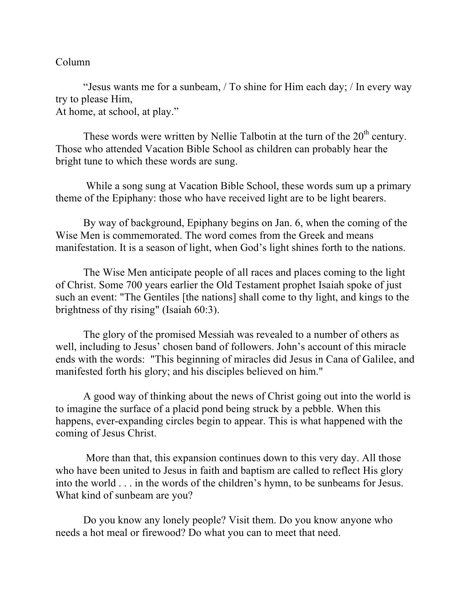## Column

"Jesus wants me for a sunbeam, / To shine for Him each day; / In every way try to please Him, At home, at school, at play."

These words were written by Nellie Talbotin at the turn of the  $20<sup>th</sup>$  century. Those who attended Vacation Bible School as children can probably hear the bright tune to which these words are sung.

While a song sung at Vacation Bible School, these words sum up a primary theme of the Epiphany: those who have received light are to be light bearers.

By way of background, Epiphany begins on Jan. 6, when the coming of the Wise Men is commemorated. The word comes from the Greek and means manifestation. It is a season of light, when God's light shines forth to the nations.

The Wise Men anticipate people of all races and places coming to the light of Christ. Some 700 years earlier the Old Testament prophet Isaiah spoke of just such an event: "The Gentiles [the nations] shall come to thy light, and kings to the brightness of thy rising" (Isaiah 60:3).

The glory of the promised Messiah was revealed to a number of others as well, including to Jesus' chosen band of followers. John's account of this miracle ends with the words: "This beginning of miracles did Jesus in Cana of Galilee, and manifested forth his glory; and his disciples believed on him."

A good way of thinking about the news of Christ going out into the world is to imagine the surface of a placid pond being struck by a pebble. When this happens, ever-expanding circles begin to appear. This is what happened with the coming of Jesus Christ.

More than that, this expansion continues down to this very day. All those who have been united to Jesus in faith and baptism are called to reflect His glory into the world . . . in the words of the children's hymn, to be sunbeams for Jesus. What kind of sunbeam are you?

Do you know any lonely people? Visit them. Do you know anyone who needs a hot meal or firewood? Do what you can to meet that need.